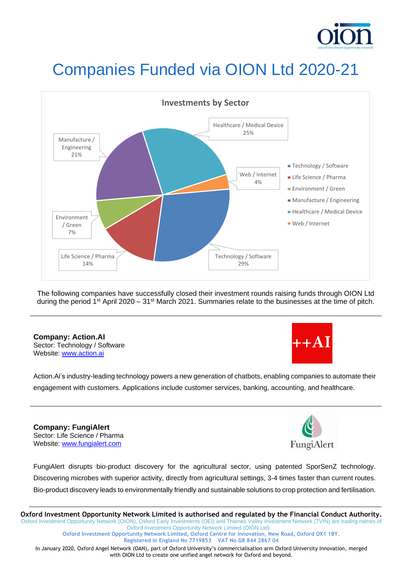

# Companies Funded via OION Ltd 2020-21



The following companies have successfully closed their investment rounds raising funds through OION Ltd during the period 1<sup>st</sup> April 2020 – 31<sup>st</sup> March 2021. Summaries relate to the businesses at the time of pitch.

### **Company: Action.AI** Sector: Technology / Software

Website: [www.action.ai](http://www.action.ai/)



Action.Ai's industry-leading technology powers a new generation of chatbots, enabling companies to automate their engagement with customers. Applications include customer services, banking, accounting, and healthcare.

**Company: FungiAlert** Sector: Life Science / Pharma Website: [www.fungialert.com](http://www.fungialert.com/)



FungiAlert disrupts bio-product discovery for the agricultural sector, using patented SporSenZ technology. Discovering microbes with superior activity, directly from agricultural settings, 3-4 times faster than current routes. Bio-product discovery leads to environmentally friendly and sustainable solutions to crop protection and fertilisation.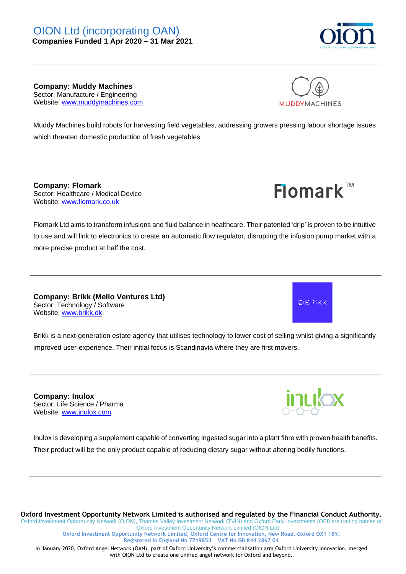

**Company: Muddy Machines** Sector: Manufacture / Engineering Website: [www.muddymachines.com](http://www.muddymachines.com/)



**Flomark™** 

Muddy Machines build robots for harvesting field vegetables, addressing growers pressing labour shortage issues which threaten domestic production of fresh vegetables.

**Company: Flomark**  Sector: Healthcare / Medical Device Website: [www.flomark.co.uk](http://www.flomark.co.uk/)

Flomark Ltd aims to transform infusions and fluid balance in healthcare. Their patented 'drip' is proven to be intuitive to use and will link to electronics to create an automatic flow regulator, disrupting the infusion pump market with a more precise product at half the cost.

**Company: Brikk (Mello Ventures Ltd)** Sector: Technology / Software Website: [www.brikk.dk](http://www.brikk.dk/)

Brikk is a next-generation estate agency that utilises technology to lower cost of selling whilst giving a significantly improved user-experience. Their initial focus is Scandinavia where they are first movers.

**Company: Inulox** Sector: Life Science / Pharma Website: [www.inulox.com](http://www.inulox.com/)



**田BRIKK** 

Inulox is developing a supplement capable of converting ingested sugar into a plant fibre with proven health benefits. Their product will be the only product capable of reducing dietary sugar without altering bodily functions.

**Oxford Investment Opportunity Network Limited is authorised and regulated by the Financial Conduct Authority.** Oxford Investment Opportunity Network (OION), Thames Valley Investment Network (TVIN) and Oxford Early Investments (OEI) are trading names of Oxford Investment Opportunity Network Limited (OION Ltd).

**Oxford Investment Opportunity Network Limited, Oxford Centre for Innovation, New Road, Oxford OX1 1BY. Registered in England No 7719853 VAT No GB 844 2867 04**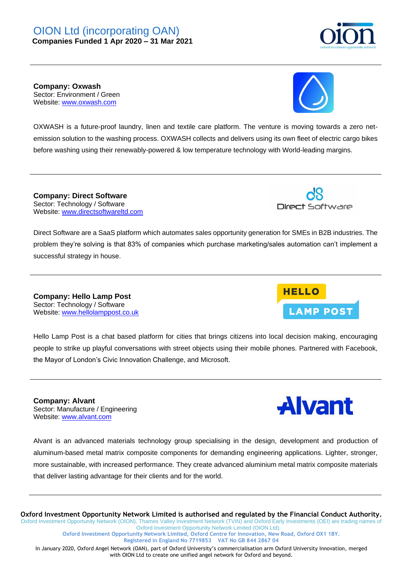**Company: Oxwash** Sector: Environment / Green Website: [www.oxwash.com](http://www.oxwash.com/)

OXWASH is a future-proof laundry, linen and textile care platform. The venture is moving towards a zero netemission solution to the washing process. OXWASH collects and delivers using its own fleet of electric cargo bikes before washing using their renewably-powered & low temperature technology with World-leading margins.

**Company: Direct Software** Sector: Technology / Software Website: [www.directsoftwareltd.com](http://www.directsoftwareltd.com/)

Direct Software are a SaaS platform which automates sales opportunity generation for SMEs in B2B industries. The problem they're solving is that 83% of companies which purchase marketing/sales automation can't implement a successful strategy in house.

**Company: Hello Lamp Post** Sector: Technology / Software Website: [www.hellolamppost.co.uk](http://www.hellolamppost.co.uk/)

Hello Lamp Post is a chat based platform for cities that brings citizens into local decision making, encouraging people to strike up playful conversations with street objects using their mobile phones. Partnered with Facebook, the Mayor of London's Civic Innovation Challenge, and Microsoft.

**Company: Alvant** Sector: Manufacture / Engineering Website: [www.alvant.com](http://www.alvant.com/)

Alvant is an advanced materials technology group specialising in the design, development and production of aluminum-based metal matrix composite components for demanding engineering applications. Lighter, stronger, more sustainable, with increased performance. They create advanced aluminium metal matrix composite materials that deliver lasting advantage for their clients and for the world.

**Oxford Investment Opportunity Network Limited is authorised and regulated by the Financial Conduct Authority.** Oxford Investment Opportunity Network (OION), Thames Valley Investment Network (TVIN) and Oxford Early Investments (OEI) are trading names of Oxford Investment Opportunity Network Limited (OION Ltd).

**Oxford Investment Opportunity Network Limited, Oxford Centre for Innovation, New Road, Oxford OX1 1BY. Registered in England No 7719853 VAT No GB 844 2867 04**

In January 2020, Oxford Angel Network (OAN), part of Oxford University's commercialisation arm Oxford University Innovation, merged with OION Ltd to create one unified angel network for Oxford and beyond.



**LAMP POST** 



**HELLO** 



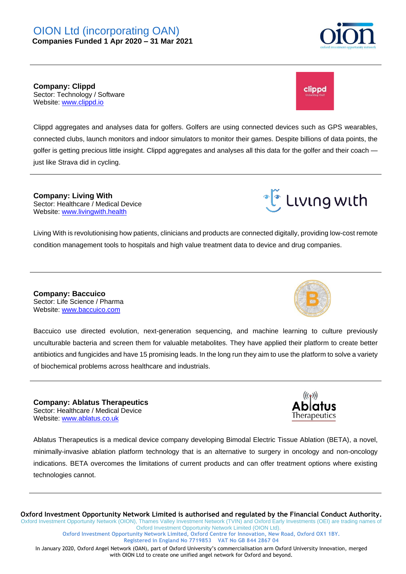

**Company: Clippd** Sector: Technology / Software Website: [www.clippd.io](http://www.clippd.io/)

Clippd aggregates and analyses data for golfers. Golfers are using connected devices such as GPS wearables, connected clubs, launch monitors and indoor simulators to monitor their games. Despite billions of data points, the golfer is getting precious little insight. Clippd aggregates and analyses all this data for the golfer and their coach just like Strava did in cycling.

**Company: Living With** Sector: Healthcare / Medical Device Website: [www.livingwith.health](http://www.livingwith.health/)

Living With is revolutionising how patients, clinicians and products are connected digitally, providing low-cost remote condition management tools to hospitals and high value treatment data to device and drug companies.

**Company: Baccuico** Sector: Life Science / Pharma Website: [www.baccuico.com](http://www.baccuico.com/)

Baccuico use directed evolution, next-generation sequencing, and machine learning to culture previously unculturable bacteria and screen them for valuable metabolites. They have applied their platform to create better antibiotics and fungicides and have 15 promising leads. In the long run they aim to use the platform to solve a variety of biochemical problems across healthcare and industrials.

**Company: Ablatus Therapeutics** Sector: Healthcare / Medical Device Website: [www.ablatus.co.uk](http://www.ablatus.co.uk/)

Ablatus Therapeutics is a medical device company developing Bimodal Electric Tissue Ablation (BETA), a novel, minimally-invasive ablation platform technology that is an alternative to surgery in oncology and non-oncology indications. BETA overcomes the limitations of current products and can offer treatment options where existing technologies cannot.

**Oxford Investment Opportunity Network Limited is authorised and regulated by the Financial Conduct Authority.** Oxford Investment Opportunity Network (OION), Thames Valley Investment Network (TVIN) and Oxford Early Investments (OEI) are trading names of Oxford Investment Opportunity Network Limited (OION Ltd).

**Oxford Investment Opportunity Network Limited, Oxford Centre for Innovation, New Road, Oxford OX1 1BY. Registered in England No 7719853 VAT No GB 844 2867 04**

In January 2020, Oxford Angel Network (OAN), part of Oxford University's commercialisation arm Oxford University Innovation, merged with OION Ltd to create one unified angel network for Oxford and beyond.





•ีโต๊ Lเvเกg wเth

clippd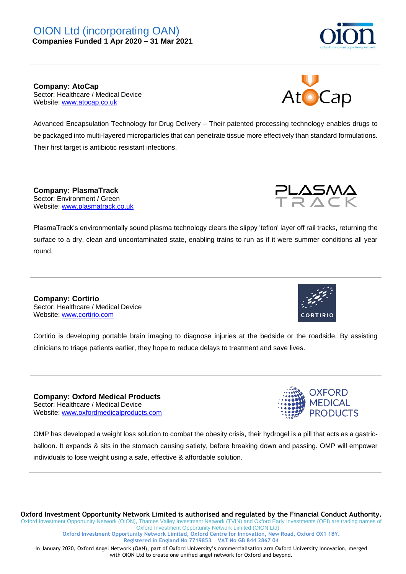**Company: AtoCap** Sector: Healthcare / Medical Device Website: [www.atocap.co.uk](http://www.atocap.co.uk/)

Advanced Encapsulation Technology for Drug Delivery – Their patented processing technology enables drugs to be packaged into multi-layered microparticles that can penetrate tissue more effectively than standard formulations. Their first target is antibiotic resistant infections.

**Company: PlasmaTrack** Sector: Environment / Green Website: [www.plasmatrack.co.uk](http://www.plasmatrack.co.uk/)

PlasmaTrack's environmentally sound plasma technology clears the slippy 'teflon' layer off rail tracks, returning the surface to a dry, clean and uncontaminated state, enabling trains to run as if it were summer conditions all year round.

**Company: Cortirio** Sector: Healthcare / Medical Device Website: [www.cortirio.com](http://www.cortirio.com/)

Cortirio is developing portable brain imaging to diagnose injuries at the bedside or the roadside. By assisting clinicians to triage patients earlier, they hope to reduce delays to treatment and save lives.

**Company: Oxford Medical Products** Sector: Healthcare / Medical Device Website: [www.oxfordmedicalproducts.com](http://www.oxfordmedicalproducts.com/)

OMP has developed a weight loss solution to combat the obesity crisis, their hydrogel is a pill that acts as a gastricballoon. It expands & sits in the stomach causing satiety, before breaking down and passing. OMP will empower individuals to lose weight using a safe, effective & affordable solution.

**Oxford Investment Opportunity Network Limited is authorised and regulated by the Financial Conduct Authority.** Oxford Investment Opportunity Network (OION), Thames Valley Investment Network (TVIN) and Oxford Early Investments (OEI) are trading names of Oxford Investment Opportunity Network Limited (OION Ltd).

**Oxford Investment Opportunity Network Limited, Oxford Centre for Innovation, New Road, Oxford OX1 1BY. Registered in England No 7719853 VAT No GB 844 2867 04**





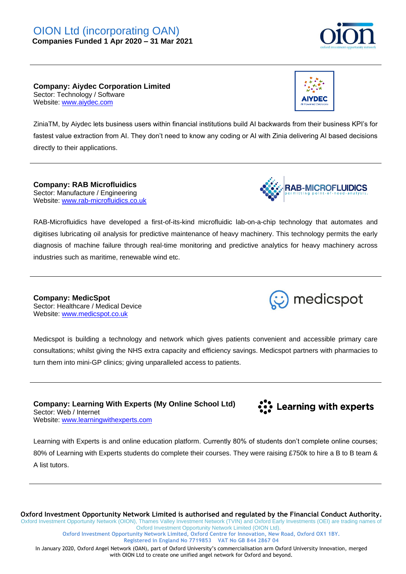

**Company: Aiydec Corporation Limited** Sector: Technology / Software Website: [www.aiydec.com](http://www.aiydec.com/)



ZiniaTM, by Aiydec lets business users within financial institutions build AI backwards from their business KPI's for fastest value extraction from AI. They don't need to know any coding or AI with Zinia delivering AI based decisions directly to their applications.

**Company: RAB Microfluidics** Sector: Manufacture / Engineering Website: [www.rab-microfluidics.co.uk](http://www.rab-microfluidics.co.uk/)



RAB-Microfluidics have developed a first-of-its-kind microfluidic lab-on-a-chip technology that automates and digitises lubricating oil analysis for predictive maintenance of heavy machinery. This technology permits the early diagnosis of machine failure through real-time monitoring and predictive analytics for heavy machinery across industries such as maritime, renewable wind etc.

**Company: MedicSpot** Sector: Healthcare / Medical Device Website: [www.medicspot.co.uk](http://www.medicspot.co.uk/)

Medicspot is building a technology and network which gives patients convenient and accessible primary care consultations; whilst giving the NHS extra capacity and efficiency savings. Medicspot partners with pharmacies to turn them into mini-GP clinics; giving unparalleled access to patients.

**Company: Learning With Experts (My Online School Ltd)** Sector: Web / Internet Website: [www.learningwithexperts.com](http://www.learningwithexperts.com/)

**Co** Learning with experts

medicspot

Learning with Experts is and online education platform. Currently 80% of students don't complete online courses; 80% of Learning with Experts students do complete their courses. They were raising £750k to hire a B to B team & A list tutors.

**Oxford Investment Opportunity Network Limited is authorised and regulated by the Financial Conduct Authority.** Oxford Investment Opportunity Network (OION), Thames Valley Investment Network (TVIN) and Oxford Early Investments (OEI) are trading names of Oxford Investment Opportunity Network Limited (OION Ltd).

**Oxford Investment Opportunity Network Limited, Oxford Centre for Innovation, New Road, Oxford OX1 1BY. Registered in England No 7719853 VAT No GB 844 2867 04**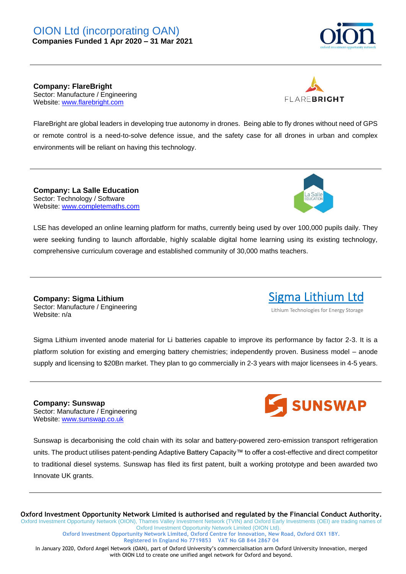

**Company: FlareBright** Sector: Manufacture / Engineering Website: [www.flarebright.com](http://www.flarebright.com/)



FlareBright are global leaders in developing true autonomy in drones. Being able to fly drones without need of GPS or remote control is a need-to-solve defence issue, and the safety case for all drones in urban and complex environments will be reliant on having this technology.

**Company: La Salle Education** Sector: Technology / Software Website: [www.completemaths.com](http://www.completemaths.com/)



Sigma Lithium Ltd Lithium Technologies for Energy Storage

LSE has developed an online learning platform for maths, currently being used by over 100,000 pupils daily. They were seeking funding to launch affordable, highly scalable digital home learning using its existing technology, comprehensive curriculum coverage and established community of 30,000 maths teachers.

**Company: Sigma Lithium** Sector: Manufacture / Engineering Website: n/a

Sigma Lithium invented anode material for Li batteries capable to improve its performance by factor 2-3. It is a platform solution for existing and emerging battery chemistries; independently proven. Business model – anode supply and licensing to \$20Bn market. They plan to go commercially in 2-3 years with major licensees in 4-5 years.

**Company: Sunswap** Sector: Manufacture / Engineering Website: [www.sunswap.co.uk](http://www.sunswap.co.uk/)



Sunswap is decarbonising the cold chain with its solar and battery-powered zero-emission transport refrigeration units. The product utilises patent-pending Adaptive Battery Capacity™ to offer a cost-effective and direct competitor to traditional diesel systems. Sunswap has filed its first patent, built a working prototype and been awarded two Innovate UK grants.

**Oxford Investment Opportunity Network Limited is authorised and regulated by the Financial Conduct Authority.** Oxford Investment Opportunity Network (OION), Thames Valley Investment Network (TVIN) and Oxford Early Investments (OEI) are trading names of

Oxford Investment Opportunity Network Limited (OION Ltd). **Oxford Investment Opportunity Network Limited, Oxford Centre for Innovation, New Road, Oxford OX1 1BY. Registered in England No 7719853 VAT No GB 844 2867 04**